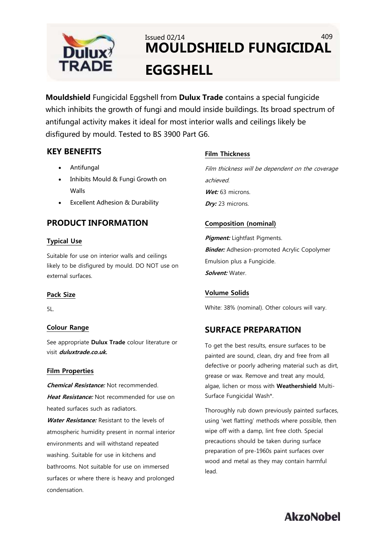

## Issued 02/14 409 **MOULDSHIELD FUNGICIDAL EGGSHELL**

**Mouldshield** Fungicidal Eggshell from **Dulux Trade** contains a special fungicide which inhibits the growth of fungi and mould inside buildings. Its broad spectrum of antifungal activity makes it ideal for most interior walls and ceilings likely be disfigured by mould. Tested to BS 3900 Part G6.

### **KEY BENEFITS**

- Antifungal
- Inhibits Mould & Fungi Growth on Walls
- Excellent Adhesion & Durability

## **PRODUCT INFORMATION**

#### **Typical Use**

Suitable for use on interior walls and ceilings likely to be disfigured by mould. DO NOT use on external surfaces.

#### **Pack Size**

5L.

#### **Colour Range**

See appropriate **Dulux Trade** colour literature or visit **duluxtrade.co.uk.**

#### **Film Properties**

**Chemical Resistance:** Not recommended. **Heat Resistance:** Not recommended for use on heated surfaces such as radiators. **Water Resistance:** Resistant to the levels of atmospheric humidity present in normal interior environments and will withstand repeated washing. Suitable for use in kitchens and bathrooms. Not suitable for use on immersed surfaces or where there is heavy and prolonged condensation.

#### **Film Thickness**

Film thickness will be dependent on the coverage achieved. Wet: 63 microns. **Dry:** 23 microns.

#### **Composition (nominal)**

**Pigment:** Lightfast Pigments. **Binder:** Adhesion-promoted Acrylic Copolymer Emulsion plus a Fungicide. **Solvent:** Water.

#### **Volume Solids**

White: 38% (nominal). Other colours will vary.

## **SURFACE PREPARATION**

To get the best results, ensure surfaces to be painted are sound, clean, dry and free from all defective or poorly adhering material such as dirt, grease or wax. Remove and treat any mould, algae, lichen or moss with **Weathershield** Multi-Surface Fungicidal Wash\*.

Thoroughly rub down previously painted surfaces, using 'wet flatting' methods where possible, then wipe off with a damp, lint free cloth. Special precautions should be taken during surface preparation of pre-1960s paint surfaces over wood and metal as they may contain harmful lead.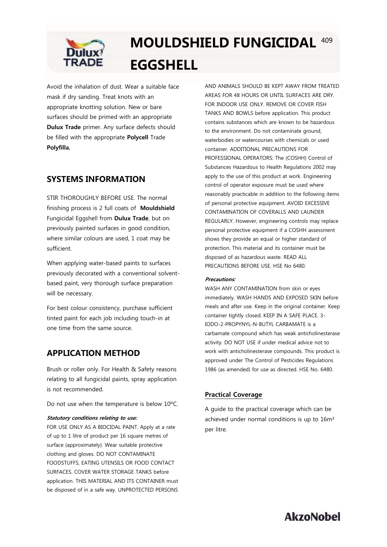

# **MOULDSHIELD FUNGICIDAL**  409 **EGGSHELL**

Avoid the inhalation of dust. Wear a suitable face mask if dry sanding. Treat knots with an appropriate knotting solution. New or bare surfaces should be primed with an appropriate **Dulux Trade** primer. Any surface defects should be filled with the appropriate **Polycell** Trade **Polyfilla.**

## **SYSTEMS INFORMATION**

STIR THOROUGHLY BEFORE USE. The normal finishing process is 2 full coats of **Mouldshield** Fungicidal Eggshell from **Dulux Trade**, but on previously painted surfaces in good condition, where similar colours are used, 1 coat may be sufficient.

When applying water-based paints to surfaces previously decorated with a conventional solventbased paint, very thorough surface preparation will be necessary.

For best colour consistency, purchase sufficient tinted paint for each job including touch-in at one time from the same source.

## **APPLICATION METHOD**

Brush or roller only. For Health & Safety reasons relating to all fungicidal paints, spray application is not recommended.

Do not use when the temperature is below 10ºC.

#### **Statutory conditions relating to use:**

FOR USE ONLY AS A BIOCIDAL PAINT. Apply at a rate of up to 1 litre of product per 16 square metres of surface (approximately). Wear suitable protective clothing and gloves. DO NOT CONTAMINATE FOODSTUFFS, EATING UTENSILS OR FOOD CONTACT SURFACES. COVER WATER STORAGE TANKS before application. THIS MATERIAL AND ITS CONTAINER must be disposed of in a safe way. UNPROTECTED PERSONS

AND ANIMALS SHOULD BE KEPT AWAY FROM TREATED AREAS FOR 48 HOURS OR UNTIL SURFACES ARE DRY. FOR INDOOR USE ONLY. REMOVE OR COVER FISH TANKS AND BOWLS before application. This product contains substances which are known to be hazardous to the environment. Do not contaminate ground, waterbodies or watercourses with chemicals or used container. ADDITIONAL PRECAUTIONS FOR PROFESSIONAL OPERATORS: The (COSHH) Control of Substances Hazardous to Health Regulations 2002 may apply to the use of this product at work. Engineering control of operator exposure must be used where reasonably practicable in addition to the following items of personal protective equipment. AVOID EXCESSIVE CONTAMINATION OF COVERALLS AND LAUNDER REGULARLY. However, engineering controls may replace personal protective equipment if a COSHH assessment shows they provide an equal or higher standard of protection. This material and its container must be disposed of as hazardous waste. READ ALL PRECAUTIONS BEFORE USE. HSE No 6480.

#### **Precautions:**

WASH ANY CONTAMINATION from skin or eyes immediately. WASH HANDS AND EXPOSED SKIN before meals and after use. Keep in the original container. Keep container tightly closed. KEEP IN A SAFE PLACE. 3- IODO-2-PROPYNYL-N-BUTYL CARBAMATE is a carbamate compound which has weak anticholinesterase activity. DO NOT USE if under medical advice not to work with anticholinesterase compounds. This product is approved under The Control of Pesticides Regulations 1986 (as amended) for use as directed. HSE No. 6480.

#### **Practical Coverage**

A guide to the practical coverage which can be achieved under normal conditions is up to 16m² per litre.